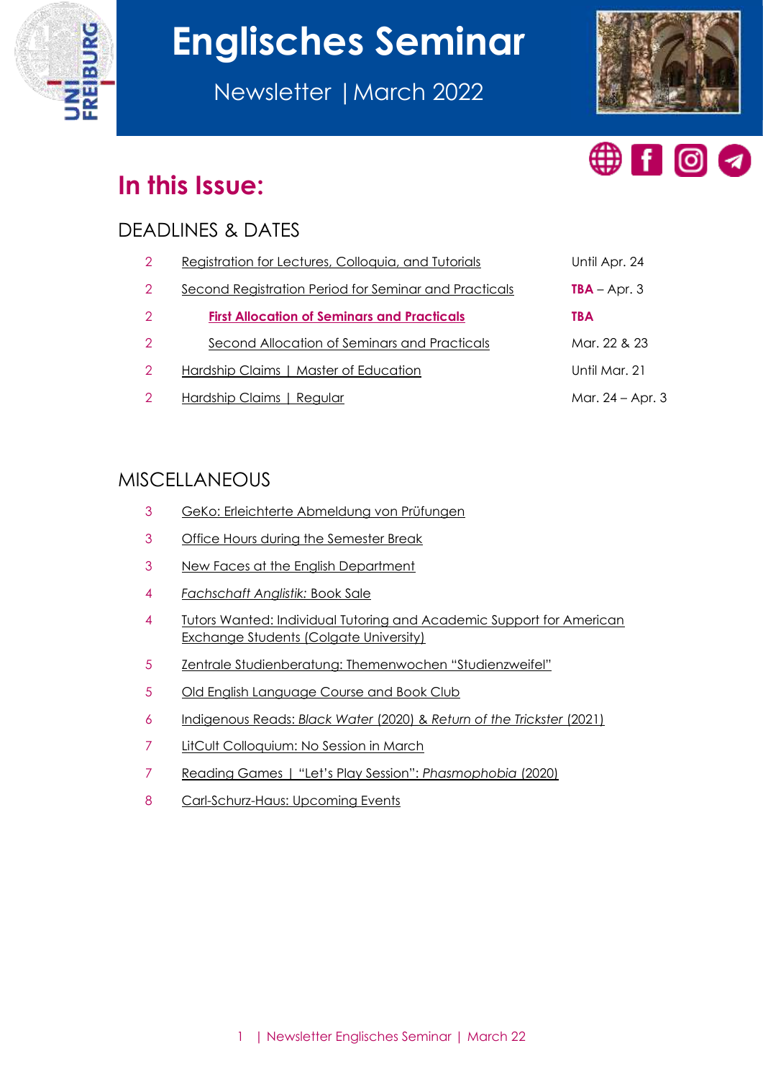

# **Englisches Seminar**

Newsletter |March 2022





# **In this Issue:**

# DEADLINES & DATES

| 2             | Registration for Lectures, Colloquia, and Tutorials   | Until Apr. 24    |
|---------------|-------------------------------------------------------|------------------|
| $\mathcal{P}$ | Second Registration Period for Seminar and Practicals | $TBA - Apr. 3$   |
| 2             | <b>First Allocation of Seminars and Practicals</b>    | <b>TBA</b>       |
| $\mathcal{P}$ | Second Allocation of Seminars and Practicals          | Mar. 22 & 23     |
| $\mathcal{P}$ | Hardship Claims   Master of Education                 | Until Mar. 21    |
| 2             | Hardship Claims   Regular                             | Mar. 24 – Apr. 3 |

# MISCELLANEOUS

- [GeKo: Erleichterte Abmeldung von Prüfungen](#page-2-0)
- [Office Hours during the Semester Break](#page-2-1)
- [New Faces at the English Department](#page-2-2)
- *[Fachschaft Anglistik:](#page-3-0)* Book Sale
- [Tutors Wanted: Individual Tutoring and Academic Support for American](#page-3-1)  [Exchange Students \(Colgate University\)](#page-3-1)
- Zentrale Studienberatung: [Themenwochen "Studienzweifel"](#page-4-0)
- [Old English Language Course and Book Club](#page-4-1)
- Indigenous Reads: *Black Water* (2020) & *[Return of the Trickster](#page-5-0)* (2021)
- [LitCult Colloquium: No Session in March](#page-6-0)
- [Reading Games | "Let's Play Session":](#page-6-1) *Phasmophobia* (2020)
- [Carl-Schurz-Haus: Upcoming Events](#page-7-0)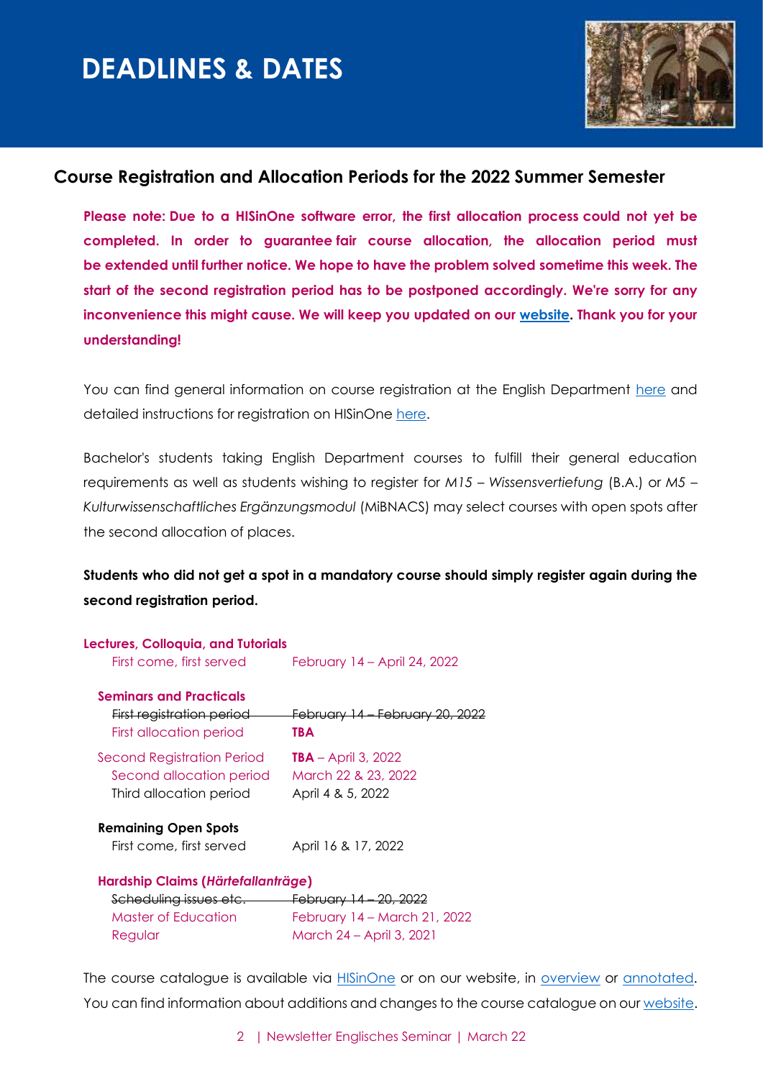

#### <span id="page-1-0"></span>**Course Registration and Allocation Periods for the 2022 Summer Semester**

**Please note: Due to a HISinOne software error, the first allocation process could not yet be completed. In order to guarantee fair course allocation, the allocation period must be extended until further notice. We hope to have the problem solved sometime this week. The start of the second registration period has to be postponed accordingly. We're sorry for any inconvenience this might cause. We will keep you updated on our [website.](https://www.anglistik.uni-freiburg.de/studiumlehre/belegverfahren) Thank you for your understanding!**

You can find general information on course registration at the English Department [here](https://www.anglistik.uni-freiburg.de/current-students/course-registration?set_language=en) and detailed instructions for registration on HISinOne [here.](https://wiki.uni-freiburg.de/campusmanagement/doku.php?id=hisinone:studieren:belegen_en)

Bachelor's students taking English Department courses to fulfill their general education requirements as well as students wishing to register for *M15 – Wissensvertiefung* (B.A.) or *M5 – Kulturwissenschaftliches Ergänzungsmodul* (MiBNACS) may select courses with open spots after the second allocation of places.

#### **Students who did not get a spot in a mandatory course should simply register again during the second registration period.**

| Lectures, Colloquia, and Tutorials            |                                            |  |  |
|-----------------------------------------------|--------------------------------------------|--|--|
| First come, first served                      | February 14 – April 24, 2022               |  |  |
| <b>Seminars and Practicals</b>                |                                            |  |  |
| <u>First registration period —</u>            | <del>February 14 – February 20, 2022</del> |  |  |
| First allocation period                       | TBA                                        |  |  |
| Second Registration Period                    | <b>TBA</b> – April 3, 2022                 |  |  |
| Second allocation period                      | March 22 & 23, 2022                        |  |  |
| Third allocation period                       | April 4 & 5, 2022                          |  |  |
| <b>Remaining Open Spots</b>                   |                                            |  |  |
| First come, first served                      | April 16 & 17, 2022                        |  |  |
| Hardship Claims (Härtefallanträge)            |                                            |  |  |
| Scheduling issues etc. February 14 - 20, 2022 |                                            |  |  |
| <b>Master of Education</b>                    | February 14 – March 21, 2022               |  |  |
| Regular                                       | March 24 - April 3, 2021                   |  |  |

The course catalogue is available via **HISinOne** or on our website, in [overview](https://www.anglistik.uni-freiburg.de/studiumlehre/lehrveranstaltungen/vlvz/sommersemester22) or [annotated.](https://www.anglistik.uni-freiburg.de/studiumlehre/lehrveranstaltungen/kommentiert/sose22) You can find information about additions and changes to the course catalogue on our [website.](https://www.anglistik.uni-freiburg.de/studiumlehre/lehrveranstaltungen)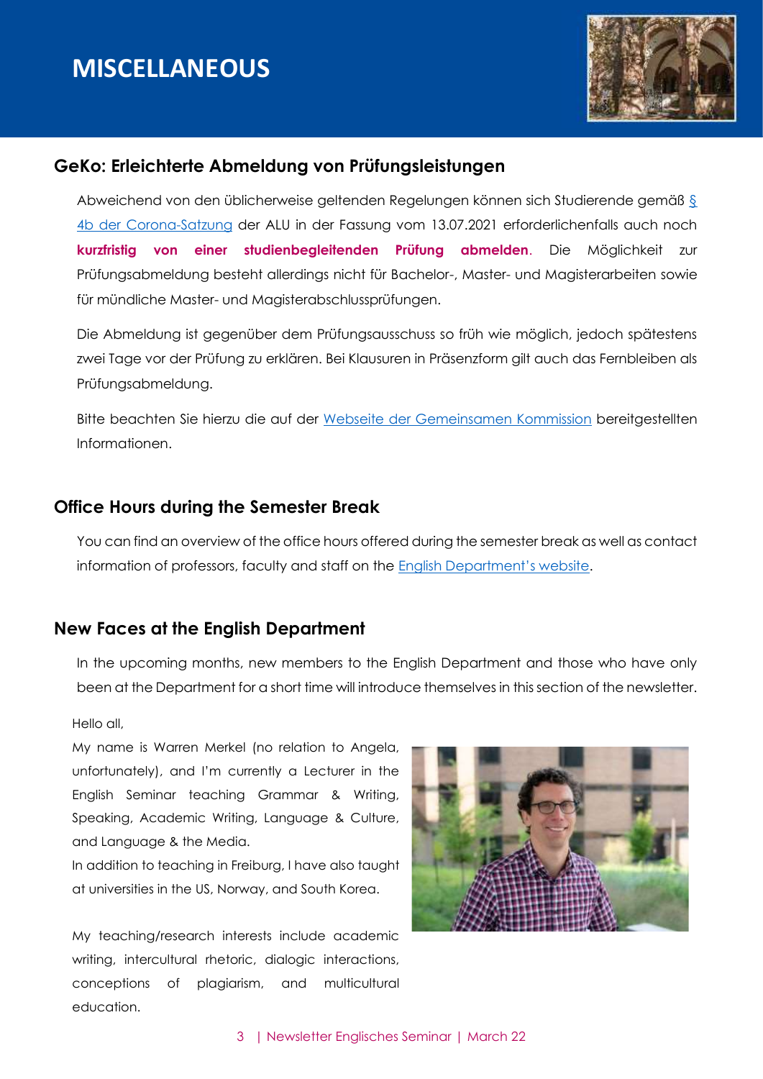

#### <span id="page-2-0"></span>**GeKo: Erleichterte Abmeldung von Prüfungsleistungen**

Abweichend von den üblicherweise geltenden Regelungen können sich Studierende gemäß [§](https://uni-freiburg.de/universitaet/wp-content/uploads/sites/3/2020/10/Uni-Freiburg-Lesefassung-Corona-Satzung.pdf)  [4b der Corona-Satzung](https://uni-freiburg.de/universitaet/wp-content/uploads/sites/3/2020/10/Uni-Freiburg-Lesefassung-Corona-Satzung.pdf) der ALU in der Fassung vom 13.07.2021 erforderlichenfalls auch noch **kurzfristig von einer studienbegleitenden Prüfung abmelden**. Die Möglichkeit zur Prüfungsabmeldung besteht allerdings nicht für Bachelor-, Master- und Magisterarbeiten sowie für mündliche Master- und Magisterabschlussprüfungen.

Die Abmeldung ist gegenüber dem Prüfungsausschuss so früh wie möglich, jedoch spätestens zwei Tage vor der Prüfung zu erklären. Bei Klausuren in Präsenzform gilt auch das Fernbleiben als Prüfungsabmeldung.

Bitte beachten Sie hierzu die auf der [Webseite der Gemeinsamen Kommission](https://www.geko.uni-freiburg.de/corona#Abmeldung) bereitgestellten Informationen.

#### <span id="page-2-1"></span>**Office Hours during the Semester Break**

You can find an overview of the office hours offered during the semester break as well as contact information of professors, faculty and staff on the English Depa[rtment's website](https://www.anglistik.uni-freiburg.de/department/office-hours?set_language=en).

#### <span id="page-2-2"></span>**New Faces at the English Department**

In the upcoming months, new members to the English Department and those who have only been at the Department for a short time will introduce themselves in this section of the newsletter.

Hello all,

My name is Warren Merkel (no relation to Angela, unfortunately), and I'm currently a Lecturer in the English Seminar teaching Grammar & Writing, Speaking, Academic Writing, Language & Culture, and Language & the Media.

In addition to teaching in Freiburg, I have also taught at universities in the US, Norway, and South Korea.

My teaching/research interests include academic writing, intercultural rhetoric, dialogic interactions, conceptions of plagiarism, and multicultural education.

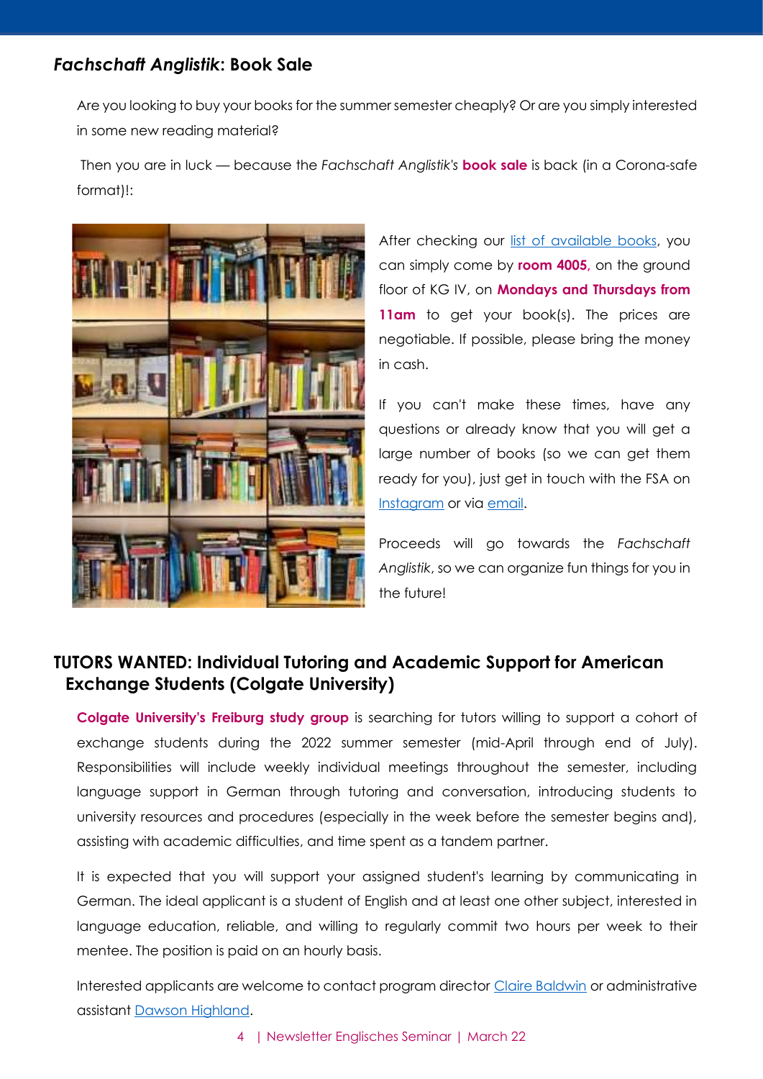#### <span id="page-3-0"></span>*Fachschaft Anglistik***: Book Sale**

Are you looking to buy your books for the summer semester cheaply? Or are you simply interested in some new reading material?

Then you are in luck — because the *Fachschaft Anglistik's* **book sale** is back (in a Corona-safe format)!:



After checking our [list of available books,](https://www.anglistik.uni-freiburg.de/fachschaft/FSA_Book_Sale_Inventory.pdf) you can simply come by **room 4005,** on the ground floor of KG IV, on **Mondays and Thursdays from**  11am to get your book(s). The prices are negotiable. If possible, please bring the money in cash.

If you can't make these times, have any questions or already know that you will get a large number of books (so we can get them ready for you), just get in touch with the FSA on [Instagram](https://www.anglistik.uni-freiburg.de/data/fachschaft-instagram) or via [email.](https://www.anglistik.uni-freiburg.de/data/fachschaft-contact)

Proceeds will go towards the *Fachschaft Anglistik*, so we can organize fun things for you in the future!

#### <span id="page-3-1"></span>**TUTORS WANTED: Individual Tutoring and Academic Support for American Exchange Students (Colgate University)**

**Colgate University's Freiburg study group** is searching for tutors willing to support a cohort of exchange students during the 2022 summer semester (mid-April through end of July). Responsibilities will include weekly individual meetings throughout the semester, including language support in German through tutoring and conversation, introducing students to university resources and procedures (especially in the week before the semester begins and), assisting with academic difficulties, and time spent as a tandem partner.

It is expected that you will support your assigned student's learning by communicating in German. The ideal applicant is a student of English and at least one other subject, interested in language education, reliable, and willing to regularly commit two hours per week to their mentee. The position is paid on an hourly basis.

Interested applicants are welcome to contact program director [Claire Baldwin](mailto:cmbaldwin@colgate.edu) or administrative assistant Dawson [Highland.](mailto:dawson.highland@anglistik.uni-freiburg.de)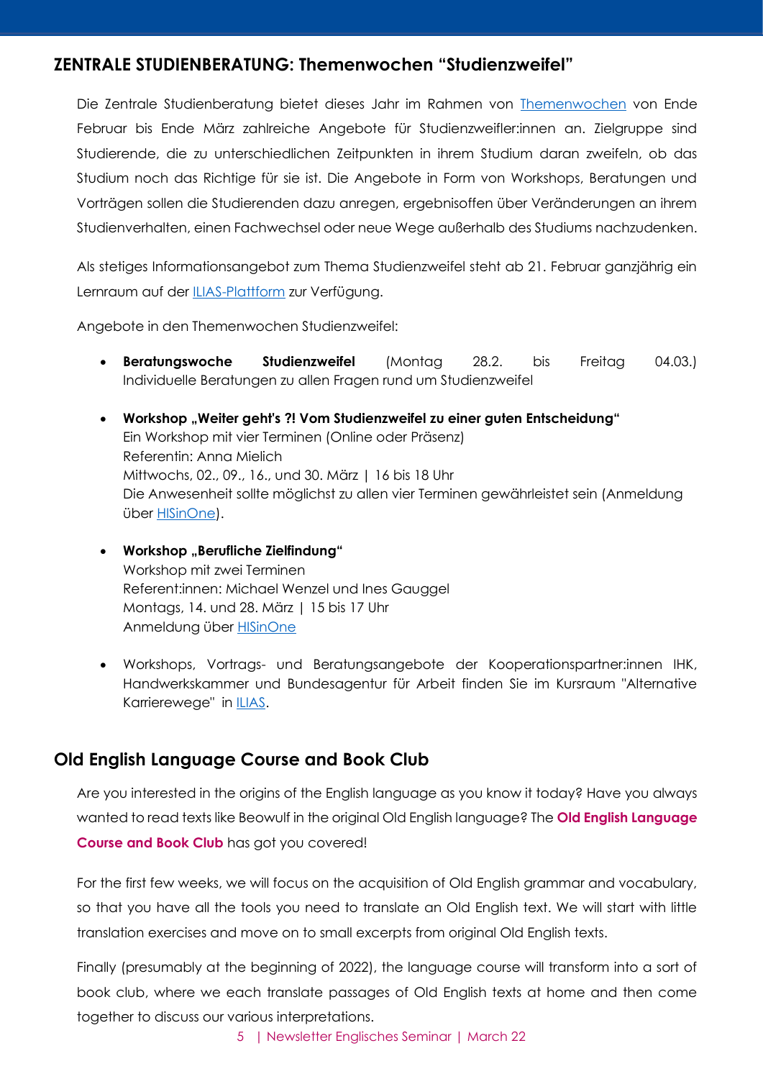#### <span id="page-4-0"></span>**ZENTRALE STUDIENBERATUNG: Themenwochen "Studienzweifel"**

Die Zentrale Studienberatung bietet dieses Jahr im Rahmen von [Themenwochen](https://www.studium.uni-freiburg.de/de/beratung/studierende/karrierewege-studienzweifel) von Ende Februar bis Ende März zahlreiche Angebote für Studienzweifler:innen an. Zielgruppe sind Studierende, die zu unterschiedlichen Zeitpunkten in ihrem Studium daran zweifeln, ob das Studium noch das Richtige für sie ist. Die Angebote in Form von Workshops, Beratungen und Vorträgen sollen die Studierenden dazu anregen, ergebnisoffen über Veränderungen an ihrem Studienverhalten, einen Fachwechsel oder neue Wege außerhalb des Studiums nachzudenken.

Als stetiges Informationsangebot zum Thema Studienzweifel steht ab 21. Februar ganzjährig ein Lernraum auf der [ILIAS-Plattform](http://uni-freiburg.link/studienzweifel22) zur Verfügung.

Angebote in den Themenwochen Studienzweifel:

- **Beratungswoche Studienzweifel** (Montag 28.2. bis Freitag 04.03.) Individuelle Beratungen zu allen Fragen rund um Studienzweifel
- **Workshop "Weiter geht's ?! Vom Studienzweifel zu einer guten Entscheidung"** Ein Workshop mit vier Terminen (Online oder Präsenz) Referentin: Anna Mielich Mittwochs, 02., 09., 16., und 30. März | 16 bis 18 Uhr Die Anwesenheit sollte möglichst zu allen vier Terminen gewährleistet sein (Anmeldung über [HISinOne\)](https://campus.uni-freiburg.de/qisserver/pages/startFlow.xhtml?_flowId=detailView-flow&unitId=98866&periodId=2451&navigationPosition=hisinoneLehrorganisation,examEventOverview).
- **•** Workshop "Berufliche Zielfindung" Workshop mit zwei Terminen Referent:innen: Michael Wenzel und Ines Gauggel Montags, 14. und 28. März | 15 bis 17 Uhr Anmeldung über [HISinOne](https://campus.uni-freiburg.de/qisserver/pages/startFlow.xhtml?_flowId=detailView-flow&unitId=112573&periodId=2451&navigationPosition=hisinoneLehrorganisation,examEventOverview)
- Workshops, Vortrags- und Beratungsangebote der Kooperationspartner:innen IHK, Handwerkskammer und Bundesagentur für Arbeit finden Sie im Kursraum "Alternative Karrierewege" in **ILIAS**.

#### <span id="page-4-1"></span>**Old English Language Course and Book Club**

Are you interested in the origins of the English language as you know it today? Have you always wanted to read texts like Beowulf in the original Old English language? The **Old English Language Course and Book Club** has got you covered!

For the first few weeks, we will focus on the acquisition of Old English grammar and vocabulary, so that you have all the tools you need to translate an Old English text. We will start with little translation exercises and move on to small excerpts from original Old English texts.

Finally (presumably at the beginning of 2022), the language course will transform into a sort of book club, where we each translate passages of Old English texts at home and then come together to discuss our various interpretations.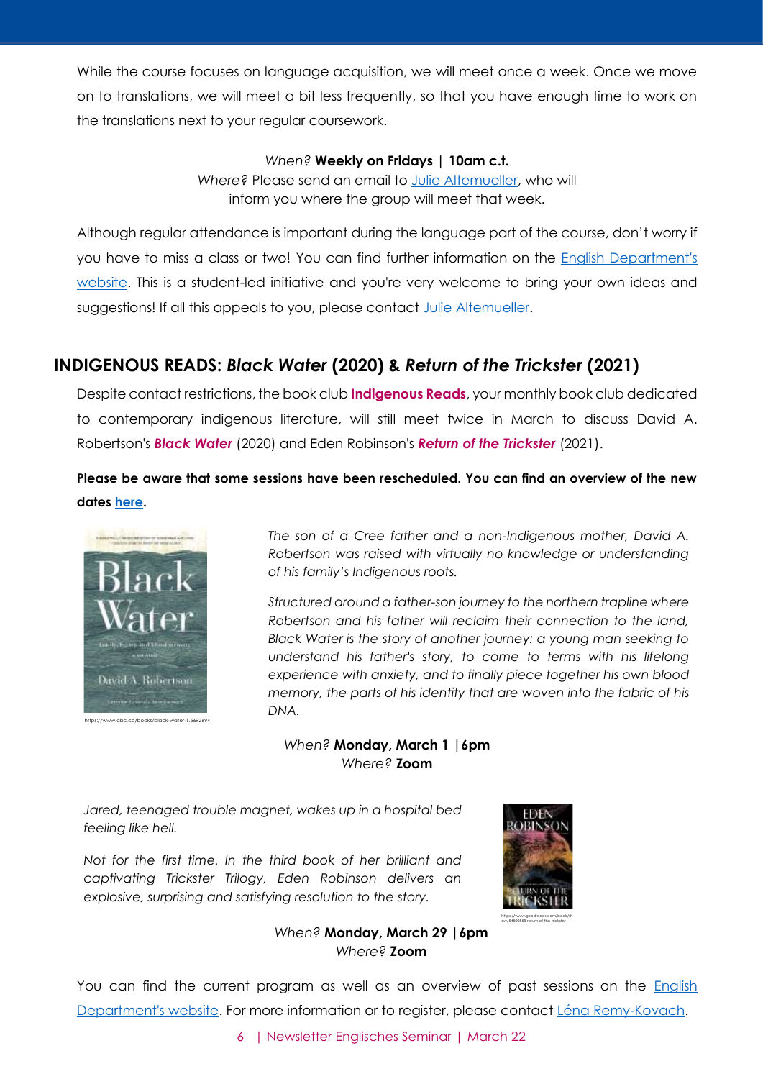While the course focuses on language acquisition, we will meet once a week. Once we move on to translations, we will meet a bit less frequently, so that you have enough time to work on the translations next to your regular coursework.

#### *When?* **Weekly on Fridays | 10am c.t.**

*Where?* Please send an email to [Julie Altemueller,](mailto:julie.altemueller@gmail.com) who will inform you where the group will meet that week.

Although regular attendance is important during the language part of the course, don't worry if you have to miss a class or two! You can find further information on the [English Department's](https://www.anglistik.uni-freiburg.de/readinggroups/old-english-book-club)  [website.](https://www.anglistik.uni-freiburg.de/readinggroups/old-english-book-club) This is a student-led initiative and you're very welcome to bring your own ideas and suggestions! If all this appeals to you, please contact [Julie Altemueller.](mailto:julie.altemueller@gmail.com)

#### <span id="page-5-0"></span>**INDIGENOUS READS:** *Black Water* **(2020) &** *Return of the Trickster* **(2021)**

Despite contact restrictions, the book club **Indigenous Reads**, your monthly book club dedicated to contemporary indigenous literature, will still meet twice in March to discuss David A. Robertson's *Black Water* (2020) and Eden Robinson's *Return of the Trickster* (2021).

**Please be aware that some sessions have been rescheduled. You can find an overview of the new dates [here.](https://www.anglistik.uni-freiburg.de/readinggroups/indigenous-reads)**



*The son of a Cree father and a non-Indigenous mother, David A. Robertson was raised with virtually no knowledge or understanding of his family's Indigenous roots.*

*Structured around a father-son journey to the northern trapline where Robertson and his father will reclaim their connection to the land, Black Water is the story of another journey: a young man seeking to*  understand his father's story, to come to terms with his lifelong *experience with anxiety, and to finally piece together his own blood memory, the parts of his identity that are woven into the fabric of his DNA.*

*When?* **Monday, March 1 |6pm** *Where?* **Zoom**

*Jared, teenaged trouble magnet, wakes up in a hospital bed feeling like hell.*

*Not for the first time. In the third book of her brilliant and captivating Trickster Trilogy, Eden Robinson delivers an explosive, surprising and satisfying resolution to the story.*



*When?* **Monday, March 29 |6pm** *Where?* **Zoom**

You can find the current program as well as an overview of past sessions on the English [Department's website.](https://www.anglistik.uni-freiburg.de/readinggroups/indigreads) For more information or to register, please contact [Léna Remy-Kovach.](mailto:lenaremykovach@gmail.com)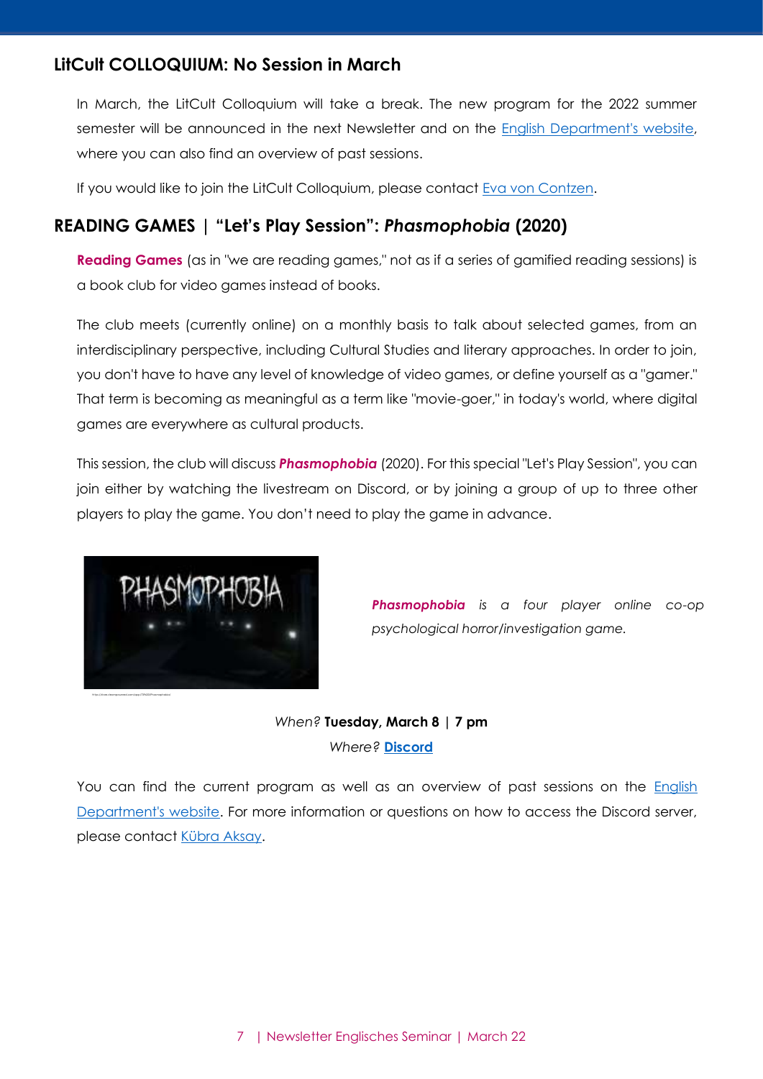#### <span id="page-6-0"></span>**LitCult COLLOQUIUM: No Session in March**

In March, the LitCult Colloquium will take a break. The new program for the 2022 summer semester will be announced in the next Newsletter and on the [English Department's](https://www.anglistik.uni-freiburg.de/readinggroups/litcult-colloquium) website, where you can also find an overview of past sessions.

If you would like to join the LitCult Colloquium, please contact [Eva von Contzen.](mailto:eva.voncontzen@anglistik.uni-freiburg.de)

#### <span id="page-6-1"></span>**READING GAMES | "Let's Play Session":** *Phasmophobia* **(2020)**

**Reading Games** (as in "we are reading games," not as if a series of gamified reading sessions) is a book club for video games instead of books.

The club meets (currently online) on a monthly basis to talk about selected games, from an interdisciplinary perspective, including Cultural Studies and literary approaches. In order to join, you don't have to have any level of knowledge of video games, or define yourself as a "gamer." That term is becoming as meaningful as a term like "movie-goer," in today's world, where digital games are everywhere as cultural products.

This session, the club will discuss *Phasmophobia* (2020). For this special "Let's Play Session", you can join either by watching the livestream on Discord, or by joining a group of up to three other players to play the game. You don't need to play the game in advance.



*Phasmophobia is a four player online co-op psychological horror/investigation game.*

*When?* **Tuesday, March 8 | 7 pm** *Where?* **[Discord](https://discordapp.com/invite/x6TjNYm)**

You can find the current program as well as an overview of past sessions on the **English** [Department's website.](https://www.anglistik.uni-freiburg.de/readinggroups/games) For more information or questions on how to access the Discord server, please contact [Kübra Aksay.](mailto:kubraaksay@gmail.com)